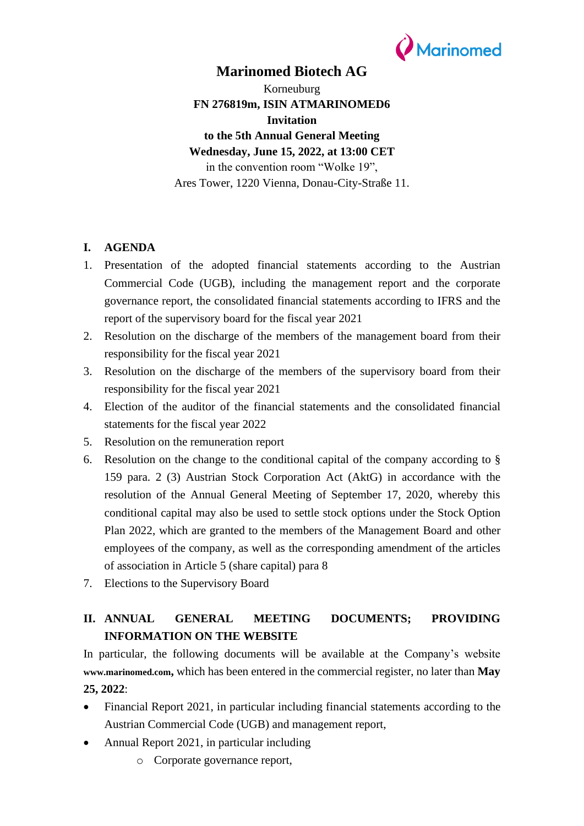

### **Marinomed Biotech AG**

Korneuburg **FN 276819m, ISIN ATMARINOMED6 Invitation to the 5th Annual General Meeting Wednesday, June 15, 2022, at 13:00 CET** in the convention room "Wolke 19", Ares Tower, 1220 Vienna, Donau-City-Straße 11.

### **I. AGENDA**

- 1. Presentation of the adopted financial statements according to the Austrian Commercial Code (UGB), including the management report and the corporate governance report, the consolidated financial statements according to IFRS and the report of the supervisory board for the fiscal year 2021
- 2. Resolution on the discharge of the members of the management board from their responsibility for the fiscal year 2021
- 3. Resolution on the discharge of the members of the supervisory board from their responsibility for the fiscal year 2021
- 4. Election of the auditor of the financial statements and the consolidated financial statements for the fiscal year 2022
- 5. Resolution on the remuneration report
- 6. Resolution on the change to the conditional capital of the company according to § 159 para. 2 (3) Austrian Stock Corporation Act (AktG) in accordance with the resolution of the Annual General Meeting of September 17, 2020, whereby this conditional capital may also be used to settle stock options under the Stock Option Plan 2022, which are granted to the members of the Management Board and other employees of the company, as well as the corresponding amendment of the articles of association in Article 5 (share capital) para 8
- 7. Elections to the Supervisory Board

# **II. ANNUAL GENERAL MEETING DOCUMENTS; PROVIDING INFORMATION ON THE WEBSITE**

In particular, the following documents will be available at the Company's website **[www.marinomed.com](http://www.marinomed.com/),** which has been entered in the commercial register, no later than **May 25, 2022**:

- Financial Report 2021, in particular including financial statements according to the Austrian Commercial Code (UGB) and management report,
- Annual Report 2021, in particular including
	- o Corporate governance report,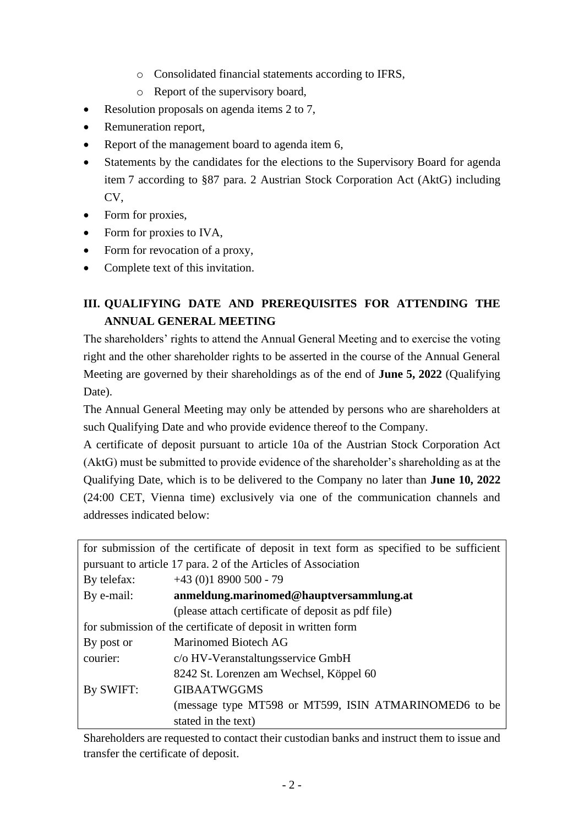- o Consolidated financial statements according to IFRS,
- o Report of the supervisory board,
- Resolution proposals on agenda items 2 to 7,
- Remuneration report,
- Report of the management board to agenda item 6,
- Statements by the candidates for the elections to the Supervisory Board for agenda item 7 according to §87 para. 2 Austrian Stock Corporation Act (AktG) including CV,
- Form for proxies,
- Form for proxies to IVA,
- Form for revocation of a proxy,
- Complete text of this invitation.

# **III. QUALIFYING DATE AND PREREQUISITES FOR ATTENDING THE ANNUAL GENERAL MEETING**

The shareholders' rights to attend the Annual General Meeting and to exercise the voting right and the other shareholder rights to be asserted in the course of the Annual General Meeting are governed by their shareholdings as of the end of **June 5, 2022** (Qualifying Date).

The Annual General Meeting may only be attended by persons who are shareholders at such Qualifying Date and who provide evidence thereof to the Company.

A certificate of deposit pursuant to article 10a of the Austrian Stock Corporation Act (AktG) must be submitted to provide evidence of the shareholder's shareholding as at the Qualifying Date, which is to be delivered to the Company no later than **June 10, 2022** (24:00 CET, Vienna time) exclusively via one of the communication channels and addresses indicated below:

|                                                               | for submission of the certificate of deposit in text form as specified to be sufficient |  |
|---------------------------------------------------------------|-----------------------------------------------------------------------------------------|--|
| pursuant to article 17 para. 2 of the Articles of Association |                                                                                         |  |
| By telefax:                                                   | $+43(0)18900500 - 79$                                                                   |  |
| By e-mail:                                                    | anmeldung.marinomed@hauptversammlung.at                                                 |  |
|                                                               | (please attach certificate of deposit as pdf file)                                      |  |
| for submission of the certificate of deposit in written form  |                                                                                         |  |
| By post or                                                    | Marinomed Biotech AG                                                                    |  |
| courier:                                                      | c/o HV-Veranstaltungsservice GmbH                                                       |  |
|                                                               | 8242 St. Lorenzen am Wechsel, Köppel 60                                                 |  |
| By SWIFT:                                                     | <b>GIBAATWGGMS</b>                                                                      |  |
|                                                               | (message type MT598 or MT599, ISIN ATMARINOMED6 to be                                   |  |
|                                                               | stated in the text)                                                                     |  |

Shareholders are requested to contact their custodian banks and instruct them to issue and transfer the certificate of deposit.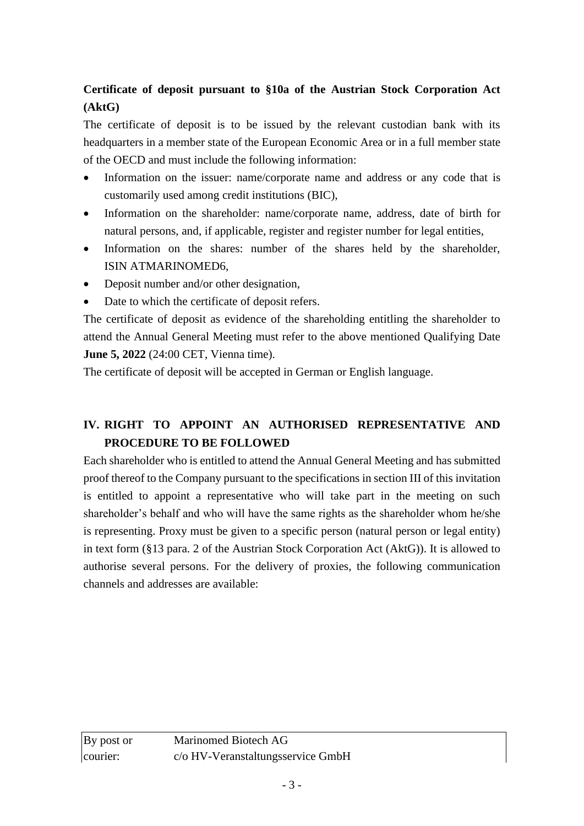# **Certificate of deposit pursuant to §10a of the Austrian Stock Corporation Act (AktG)**

The certificate of deposit is to be issued by the relevant custodian bank with its headquarters in a member state of the European Economic Area or in a full member state of the OECD and must include the following information:

- Information on the issuer: name/corporate name and address or any code that is customarily used among credit institutions (BIC),
- Information on the shareholder: name/corporate name, address, date of birth for natural persons, and, if applicable, register and register number for legal entities,
- Information on the shares: number of the shares held by the shareholder, ISIN ATMARINOMED6,
- Deposit number and/or other designation,
- Date to which the certificate of deposit refers.

The certificate of deposit as evidence of the shareholding entitling the shareholder to attend the Annual General Meeting must refer to the above mentioned Qualifying Date **June 5, 2022** (24:00 CET, Vienna time).

The certificate of deposit will be accepted in German or English language.

# **IV. RIGHT TO APPOINT AN AUTHORISED REPRESENTATIVE AND PROCEDURE TO BE FOLLOWED**

Each shareholder who is entitled to attend the Annual General Meeting and has submitted proof thereof to the Company pursuant to the specifications in section III of this invitation is entitled to appoint a representative who will take part in the meeting on such shareholder's behalf and who will have the same rights as the shareholder whom he/she is representing. Proxy must be given to a specific person (natural person or legal entity) in text form (§13 para. 2 of the Austrian Stock Corporation Act (AktG)). It is allowed to authorise several persons. For the delivery of proxies, the following communication channels and addresses are available: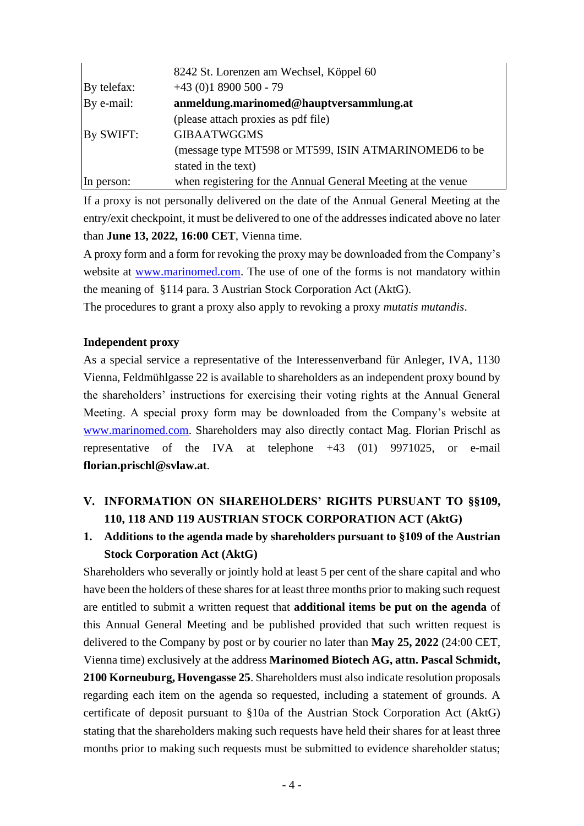|             | 8242 St. Lorenzen am Wechsel, Köppel 60                      |
|-------------|--------------------------------------------------------------|
| By telefax: | $+43(0)18900500 - 79$                                        |
| By e-mail:  | anmeldung.marinomed@hauptversammlung.at                      |
|             | (please attach proxies as pdf file)                          |
| By SWIFT:   | <b>GIBAATWGGMS</b>                                           |
|             | (message type MT598 or MT599, ISIN ATMARINOMED6 to be        |
|             | stated in the text)                                          |
| In person:  | when registering for the Annual General Meeting at the venue |

If a proxy is not personally delivered on the date of the Annual General Meeting at the entry/exit checkpoint, it must be delivered to one of the addresses indicated above no later than **June 13, 2022, 16:00 CET**, Vienna time.

A proxy form and a form for revoking the proxy may be downloaded from the Company's website at [www.marinomed.com.](http://www.marinomed.com/) The use of one of the forms is not mandatory within the meaning of §114 para. 3 Austrian Stock Corporation Act (AktG).

The procedures to grant a proxy also apply to revoking a proxy *mutatis mutandis*.

### **Independent proxy**

As a special service a representative of the Interessenverband für Anleger, IVA, 1130 Vienna, Feldmühlgasse 22 is available to shareholders as an independent proxy bound by the shareholders' instructions for exercising their voting rights at the Annual General Meeting. A special proxy form may be downloaded from the Company's website at [www.marinomed.com.](http://www.marinomed.com/) Shareholders may also directly contact Mag. Florian Prischl as representative of the IVA at telephone +43 (01) 9971025, or e-mail **florian.prischl@svlaw.at**.

# **V. INFORMATION ON SHAREHOLDERS' RIGHTS PURSUANT TO §§109, 110, 118 AND 119 AUSTRIAN STOCK CORPORATION ACT (AktG)**

# **1. Additions to the agenda made by shareholders pursuant to §109 of the Austrian Stock Corporation Act (AktG)**

Shareholders who severally or jointly hold at least 5 per cent of the share capital and who have been the holders of these shares for at least three months prior to making such request are entitled to submit a written request that **additional items be put on the agenda** of this Annual General Meeting and be published provided that such written request is delivered to the Company by post or by courier no later than **May 25, 2022** (24:00 CET, Vienna time) exclusively at the address **Marinomed Biotech AG, attn. Pascal Schmidt, 2100 Korneuburg, Hovengasse 25**. Shareholders must also indicate resolution proposals regarding each item on the agenda so requested, including a statement of grounds. A certificate of deposit pursuant to §10a of the Austrian Stock Corporation Act (AktG) stating that the shareholders making such requests have held their shares for at least three months prior to making such requests must be submitted to evidence shareholder status;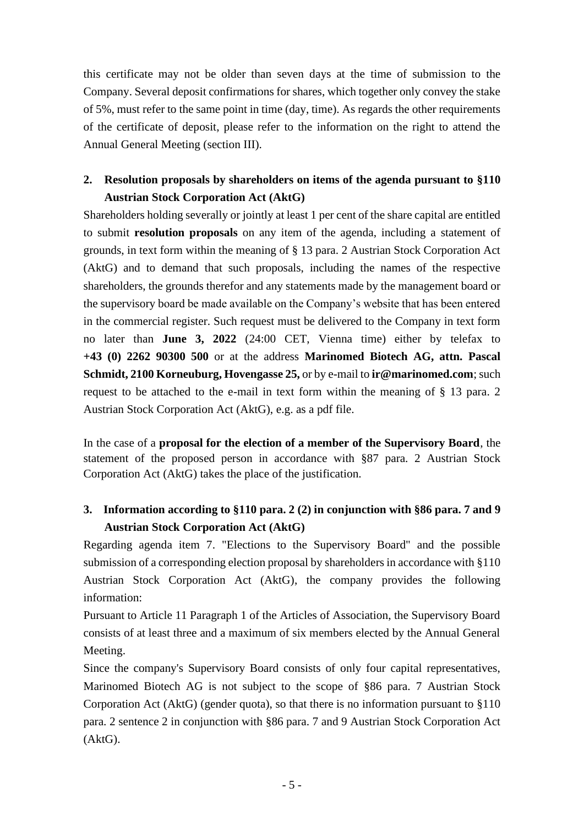this certificate may not be older than seven days at the time of submission to the Company. Several deposit confirmations for shares, which together only convey the stake of 5%, must refer to the same point in time (day, time). As regards the other requirements of the certificate of deposit, please refer to the information on the right to attend the Annual General Meeting (section III).

### **2. Resolution proposals by shareholders on items of the agenda pursuant to §110 Austrian Stock Corporation Act (AktG)**

Shareholders holding severally or jointly at least 1 per cent of the share capital are entitled to submit **resolution proposals** on any item of the agenda, including a statement of grounds, in text form within the meaning of § 13 para. 2 Austrian Stock Corporation Act (AktG) and to demand that such proposals, including the names of the respective shareholders, the grounds therefor and any statements made by the management board or the supervisory board be made available on the Company's website that has been entered in the commercial register. Such request must be delivered to the Company in text form no later than **June 3, 2022** (24:00 CET, Vienna time) either by telefax to **+43 (0) 2262 90300 500** or at the address **Marinomed Biotech AG, attn. Pascal Schmidt, 2100 Korneuburg, Hovengasse 25,** or by e-mail to **ir@marinomed.com**; such request to be attached to the e-mail in text form within the meaning of § 13 para. 2 Austrian Stock Corporation Act (AktG), e.g. as a pdf file.

In the case of a **proposal for the election of a member of the Supervisory Board**, the statement of the proposed person in accordance with §87 para. 2 Austrian Stock Corporation Act (AktG) takes the place of the justification.

# **3. Information according to §110 para. 2 (2) in conjunction with §86 para. 7 and 9 Austrian Stock Corporation Act (AktG)**

Regarding agenda item 7. "Elections to the Supervisory Board" and the possible submission of a corresponding election proposal by shareholders in accordance with §110 Austrian Stock Corporation Act (AktG), the company provides the following information:

Pursuant to Article 11 Paragraph 1 of the Articles of Association, the Supervisory Board consists of at least three and a maximum of six members elected by the Annual General Meeting.

Since the company's Supervisory Board consists of only four capital representatives, Marinomed Biotech AG is not subject to the scope of §86 para. 7 Austrian Stock Corporation Act (AktG) (gender quota), so that there is no information pursuant to §110 para. 2 sentence 2 in conjunction with §86 para. 7 and 9 Austrian Stock Corporation Act (AktG).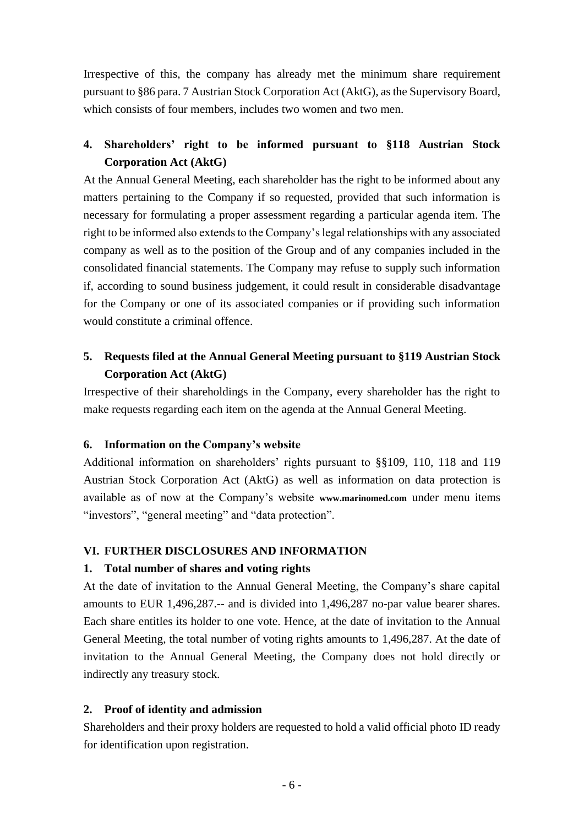Irrespective of this, the company has already met the minimum share requirement pursuant to §86 para. 7 Austrian Stock Corporation Act (AktG), as the Supervisory Board, which consists of four members, includes two women and two men.

### **4. Shareholders' right to be informed pursuant to §118 Austrian Stock Corporation Act (AktG)**

At the Annual General Meeting, each shareholder has the right to be informed about any matters pertaining to the Company if so requested, provided that such information is necessary for formulating a proper assessment regarding a particular agenda item. The right to be informed also extends to the Company's legal relationships with any associated company as well as to the position of the Group and of any companies included in the consolidated financial statements. The Company may refuse to supply such information if, according to sound business judgement, it could result in considerable disadvantage for the Company or one of its associated companies or if providing such information would constitute a criminal offence.

# **5. Requests filed at the Annual General Meeting pursuant to §119 Austrian Stock Corporation Act (AktG)**

Irrespective of their shareholdings in the Company, every shareholder has the right to make requests regarding each item on the agenda at the Annual General Meeting.

### **6. Information on the Company's website**

Additional information on shareholders' rights pursuant to §§109, 110, 118 and 119 Austrian Stock Corporation Act (AktG) as well as information on data protection is available as of now at the Company's website **[www.marinomed.com](http://www.marinomed.com/)** under menu items "investors", "general meeting" and "data protection".

### **VI. FURTHER DISCLOSURES AND INFORMATION**

### **1. Total number of shares and voting rights**

At the date of invitation to the Annual General Meeting, the Company's share capital amounts to EUR 1,496,287.-- and is divided into 1,496,287 no-par value bearer shares. Each share entitles its holder to one vote. Hence, at the date of invitation to the Annual General Meeting, the total number of voting rights amounts to 1,496,287. At the date of invitation to the Annual General Meeting, the Company does not hold directly or indirectly any treasury stock.

### **2. Proof of identity and admission**

Shareholders and their proxy holders are requested to hold a valid official photo ID ready for identification upon registration.